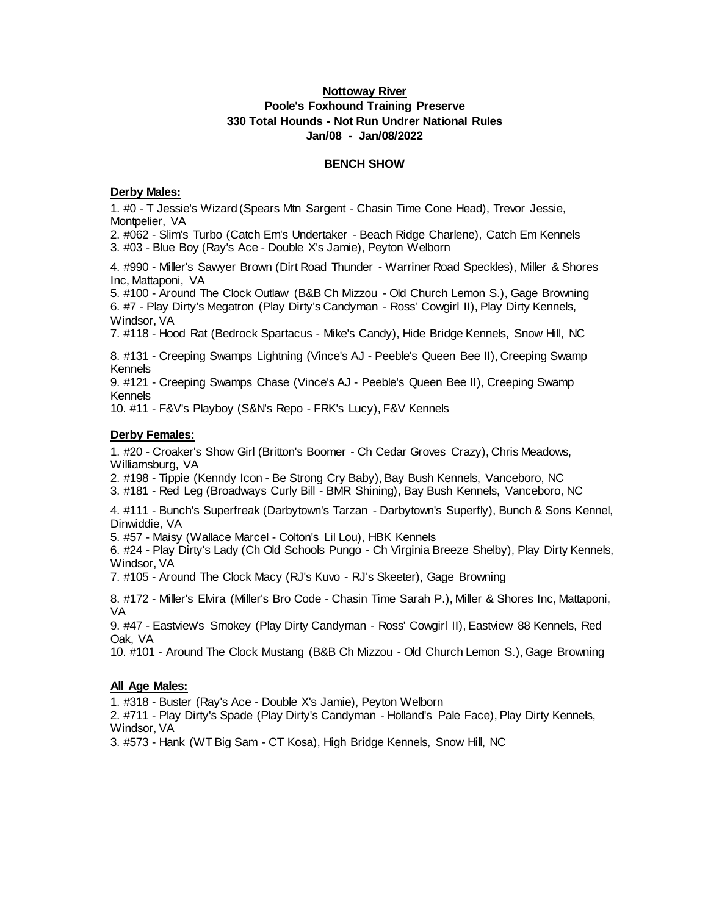# **Nottoway River Poole's Foxhound Training Preserve 330 Total Hounds - Not Run Undrer National Rules Jan/08 - Jan/08/2022**

#### **BENCH SHOW**

#### **Derby Males:**

1. #0 - T Jessie's Wizard (Spears Mtn Sargent - Chasin Time Cone Head), Trevor Jessie, Montpelier, VA

2. #062 - Slim's Turbo (Catch Em's Undertaker - Beach Ridge Charlene), Catch Em Kennels 3. #03 - Blue Boy (Ray's Ace - Double X's Jamie), Peyton Welborn

4. #990 - Miller's Sawyer Brown (Dirt Road Thunder - Warriner Road Speckles), Miller & Shores Inc, Mattaponi, VA

5. #100 - Around The Clock Outlaw (B&B Ch Mizzou - Old Church Lemon S.), Gage Browning 6. #7 - Play Dirty's Megatron (Play Dirty's Candyman - Ross' Cowgirl II), Play Dirty Kennels, Windsor, VA

7. #118 - Hood Rat (Bedrock Spartacus - Mike's Candy), Hide Bridge Kennels, Snow Hill, NC

8. #131 - Creeping Swamps Lightning (Vince's AJ - Peeble's Queen Bee II), Creeping Swamp Kennels

9. #121 - Creeping Swamps Chase (Vince's AJ - Peeble's Queen Bee II), Creeping Swamp Kennels

10. #11 - F&V's Playboy (S&N's Repo - FRK's Lucy), F&V Kennels

# **Derby Females:**

1. #20 - Croaker's Show Girl (Britton's Boomer - Ch Cedar Groves Crazy), Chris Meadows, Williamsburg, VA

2. #198 - Tippie (Kenndy Icon - Be Strong Cry Baby), Bay Bush Kennels, Vanceboro, NC

3. #181 - Red Leg (Broadways Curly Bill - BMR Shining), Bay Bush Kennels, Vanceboro, NC

4. #111 - Bunch's Superfreak (Darbytown's Tarzan - Darbytown's Superfly), Bunch & Sons Kennel, Dinwiddie, VA

5. #57 - Maisy (Wallace Marcel - Colton's Lil Lou), HBK Kennels

6. #24 - Play Dirty's Lady (Ch Old Schools Pungo - Ch Virginia Breeze Shelby), Play Dirty Kennels, Windsor, VA

7. #105 - Around The Clock Macy (RJ's Kuvo - RJ's Skeeter), Gage Browning

8. #172 - Miller's Elvira (Miller's Bro Code - Chasin Time Sarah P.), Miller & Shores Inc, Mattaponi, VA

9. #47 - Eastview's Smokey (Play Dirty Candyman - Ross' Cowgirl II), Eastview 88 Kennels, Red Oak, VA

10. #101 - Around The Clock Mustang (B&B Ch Mizzou - Old Church Lemon S.), Gage Browning

### **All Age Males:**

1. #318 - Buster (Ray's Ace - Double X's Jamie), Peyton Welborn

2. #711 - Play Dirty's Spade (Play Dirty's Candyman - Holland's Pale Face), Play Dirty Kennels, Windsor, VA

3. #573 - Hank (WT Big Sam - CT Kosa), High Bridge Kennels, Snow Hill, NC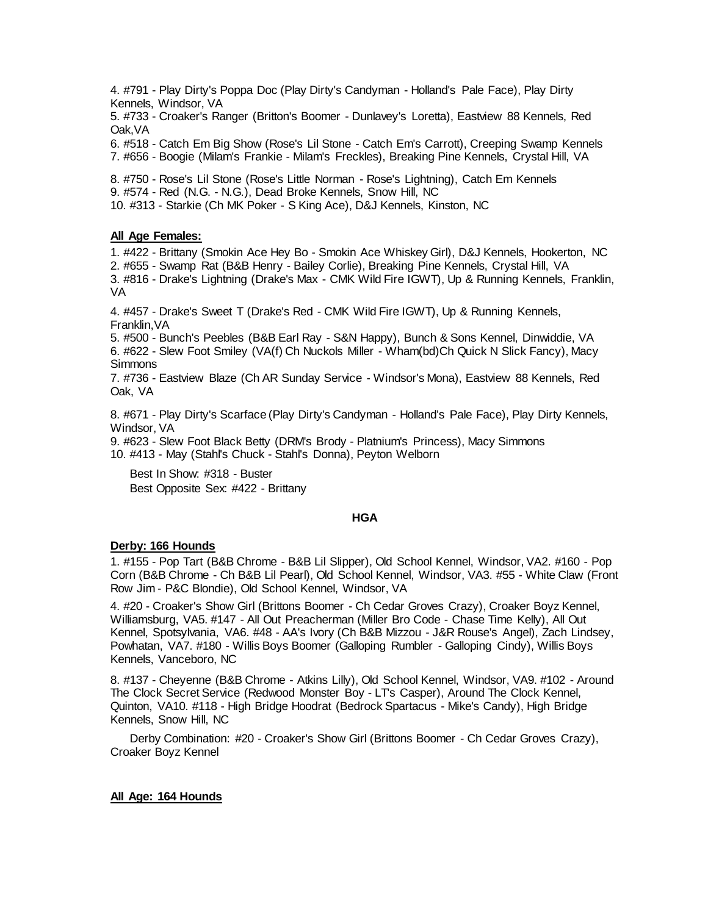4. #791 - Play Dirty's Poppa Doc (Play Dirty's Candyman - Holland's Pale Face), Play Dirty Kennels, Windsor, VA

5. #733 - Croaker's Ranger (Britton's Boomer - Dunlavey's Loretta), Eastview 88 Kennels, Red Oak,VA

6. #518 - Catch Em Big Show (Rose's Lil Stone - Catch Em's Carrott), Creeping Swamp Kennels 7. #656 - Boogie (Milam's Frankie - Milam's Freckles), Breaking Pine Kennels, Crystal Hill, VA

8. #750 - Rose's Lil Stone (Rose's Little Norman - Rose's Lightning), Catch Em Kennels 9. #574 - Red (N.G. - N.G.), Dead Broke Kennels, Snow Hill, NC

10. #313 - Starkie (Ch MK Poker - S King Ace), D&J Kennels, Kinston, NC

# **All Age Females:**

1. #422 - Brittany (Smokin Ace Hey Bo - Smokin Ace Whiskey Girl), D&J Kennels, Hookerton, NC 2. #655 - Swamp Rat (B&B Henry - Bailey Corlie), Breaking Pine Kennels, Crystal Hill, VA 3. #816 - Drake's Lightning (Drake's Max - CMK Wild Fire IGWT), Up & Running Kennels, Franklin, VA

4. #457 - Drake's Sweet T (Drake's Red - CMK Wild Fire IGWT), Up & Running Kennels, Franklin,VA

5. #500 - Bunch's Peebles (B&B Earl Ray - S&N Happy), Bunch & Sons Kennel, Dinwiddie, VA 6. #622 - Slew Foot Smiley (VA(f) Ch Nuckols Miller - Wham(bd)Ch Quick N Slick Fancy), Macy **Simmons** 

7. #736 - Eastview Blaze (Ch AR Sunday Service - Windsor's Mona), Eastview 88 Kennels, Red Oak, VA

8. #671 - Play Dirty's Scarface (Play Dirty's Candyman - Holland's Pale Face), Play Dirty Kennels, Windsor, VA

9. #623 - Slew Foot Black Betty (DRM's Brody - Platnium's Princess), Macy Simmons 10. #413 - May (Stahl's Chuck - Stahl's Donna), Peyton Welborn

 Best In Show: #318 - Buster Best Opposite Sex: #422 - Brittany

### **HGA**

### **Derby: 166 Hounds**

1. #155 - Pop Tart (B&B Chrome - B&B Lil Slipper), Old School Kennel, Windsor, VA2. #160 - Pop Corn (B&B Chrome - Ch B&B Lil Pearl), Old School Kennel, Windsor, VA3. #55 - White Claw (Front Row Jim - P&C Blondie), Old School Kennel, Windsor, VA

4. #20 - Croaker's Show Girl (Brittons Boomer - Ch Cedar Groves Crazy), Croaker Boyz Kennel, Williamsburg, VA5. #147 - All Out Preacherman (Miller Bro Code - Chase Time Kelly), All Out Kennel, Spotsylvania, VA6. #48 - AA's Ivory (Ch B&B Mizzou - J&R Rouse's Angel), Zach Lindsey, Powhatan, VA7. #180 - Willis Boys Boomer (Galloping Rumbler - Galloping Cindy), Willis Boys Kennels, Vanceboro, NC

8. #137 - Cheyenne (B&B Chrome - Atkins Lilly), Old School Kennel, Windsor, VA9. #102 - Around The Clock Secret Service (Redwood Monster Boy - LT's Casper), Around The Clock Kennel, Quinton, VA10. #118 - High Bridge Hoodrat (Bedrock Spartacus - Mike's Candy), High Bridge Kennels, Snow Hill, NC

 Derby Combination: #20 - Croaker's Show Girl (Brittons Boomer - Ch Cedar Groves Crazy), Croaker Boyz Kennel

### **All Age: 164 Hounds**